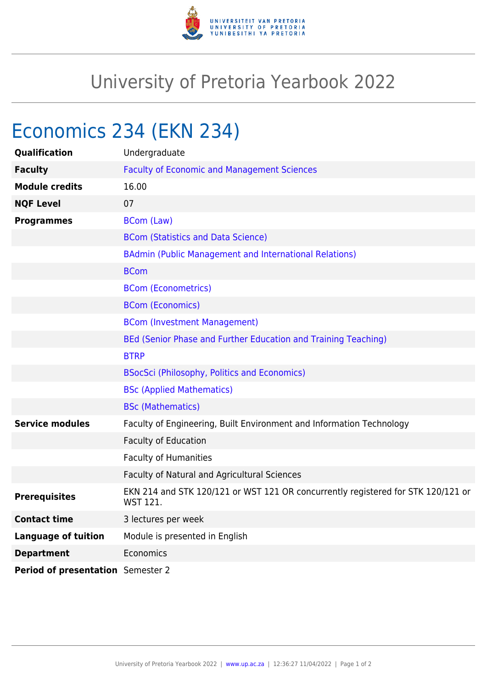

## University of Pretoria Yearbook 2022

## Economics 234 (EKN 234)

| Qualification                     | Undergraduate                                                                                       |
|-----------------------------------|-----------------------------------------------------------------------------------------------------|
| <b>Faculty</b>                    | <b>Faculty of Economic and Management Sciences</b>                                                  |
| <b>Module credits</b>             | 16.00                                                                                               |
| <b>NQF Level</b>                  | 07                                                                                                  |
| <b>Programmes</b>                 | <b>BCom (Law)</b>                                                                                   |
|                                   | <b>BCom (Statistics and Data Science)</b>                                                           |
|                                   | <b>BAdmin (Public Management and International Relations)</b>                                       |
|                                   | <b>BCom</b>                                                                                         |
|                                   | <b>BCom (Econometrics)</b>                                                                          |
|                                   | <b>BCom (Economics)</b>                                                                             |
|                                   | <b>BCom (Investment Management)</b>                                                                 |
|                                   | BEd (Senior Phase and Further Education and Training Teaching)                                      |
|                                   | <b>BTRP</b>                                                                                         |
|                                   | <b>BSocSci (Philosophy, Politics and Economics)</b>                                                 |
|                                   | <b>BSc (Applied Mathematics)</b>                                                                    |
|                                   | <b>BSc (Mathematics)</b>                                                                            |
| <b>Service modules</b>            | Faculty of Engineering, Built Environment and Information Technology                                |
|                                   | <b>Faculty of Education</b>                                                                         |
|                                   | <b>Faculty of Humanities</b>                                                                        |
|                                   | Faculty of Natural and Agricultural Sciences                                                        |
| <b>Prerequisites</b>              | EKN 214 and STK 120/121 or WST 121 OR concurrently registered for STK 120/121 or<br><b>WST 121.</b> |
| <b>Contact time</b>               | 3 lectures per week                                                                                 |
| <b>Language of tuition</b>        | Module is presented in English                                                                      |
| <b>Department</b>                 | Economics                                                                                           |
| Period of presentation Semester 2 |                                                                                                     |